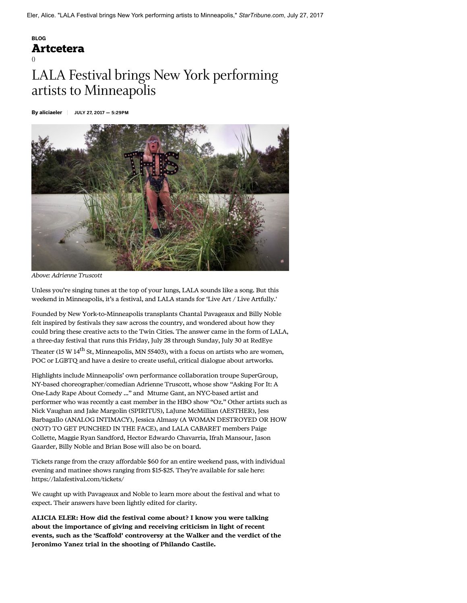# \_\_\_BLOG [Artcetera](https://www.startribune.com/lala-festival-brings-new-york-performing-artists-to-minneapolis/437012713/)

()

# LALA Festival brings New York performing artists to Minneapolis

By aliciaeler JULY 27, 2017 — 5:29PM



Above: Adrienne Truscott

Unless you're singing tunes at the top of your lungs, LALA sounds like a song. But this weekend in Minneapolis, it's a festival, and LALA stands for 'Live Art / Live Artfully.'

Founded by New York-to-Minneapolis transplants Chantal Pavageaux and Billy Noble felt inspired by festivals they saw across the country, and wondered about how they could bring these creative acts to the Twin Cities. The answer came in the form of LALA, a three-day festival that runs this Friday, July 28 through Sunday, July 30 at RedEye

Theater (15 W  $14^{th}$  St, Minneapolis, MN 55403), with a focus on artists who are women, POC or LGBTQ and have a desire to create useful, critical dialogue about artworks.

Highlights include Minneapolis' own performance collaboration troupe SuperGroup, NY-based choreographer/comedian Adrienne Truscott, whose show "Asking For It: A One-Lady Rape About Comedy ..." and Mtume Gant, an NYC-based artist and performer who was recently a cast member in the HBO show "Oz." Other artists such as Nick Vaughan and Jake Margolin (SPIRITUS), LaJune McMillian (AESTHER), Jess Barbagallo (ANALOG INTIMACY), Jessica Almasy (A WOMAN DESTROYED OR HOW (NOT) TO GET PUNCHED IN THE FACE), and LALA CABARET members Paige Collette, Maggie Ryan Sandford, Hector Edwardo Chavarria, Ifrah Mansour, Jason Gaarder, Billy Noble and Brian Bose will also be on board.

Tickets range from the crazy affordable \$60 for an entire weekend pass, with individual evening and matinee shows ranging from \$15-\$25. They're available for sale here: https://lalafestival.com/tickets/

We caught up with Pavageaux and Noble to learn more about the festival and what to expect. Their answers have been lightly edited for clarity.

ALICIA ELER: How did the festival come about? I know you were talking about the importance of giving and receiving criticism in light of recent events, such as the 'Scaffold' controversy at the Walker and the verdict of the Jeronimo Yanez trial in the shooting of Philando Castile.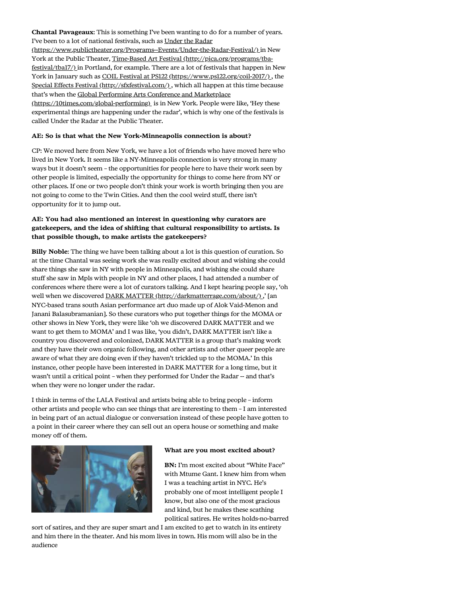Chantal Pavageaux: This is something I've been wanting to do for a number of years. I've been to a lot of national festivals, such as Under the Radar [\(https://www.publictheater.org/Programs--Events/Under-the-Radar-Festival/\)](https://www.publictheater.org/Programs--Events/Under-the-Radar-Festival/) in New [York at the Public Theater, Time-Based Art Festival \(http://pica.org/programs/tba](http://pica.org/programs/tba-festival/tba17/)festival/tba17/) in Portland, for example. There are a lot of festivals that happen in New York in January such as [COIL Festival at PS122 \(https://www.ps122.org/coil-2017/\) ,](https://www.ps122.org/coil-2017/) the [Special Effects Festival \(http://sfxfestival.com/\) ,](http://sfxfestival.com/) which all happen at this time because [that's when the Global Performing Arts Conference and Marketplace](https://10times.com/global-performing) (https://10times.com/global-performing) is in New York. People were like, 'Hey these experimental things are happening under the radar', which is why one of the festivals is called Under the Radar at the Public Theater.

#### AE: So is that what the New York-Minneapolis connection is about?

CP: We moved here from New York, we have a lot of friends who have moved here who lived in New York. It seems like a NY-Minneapolis connection is very strong in many ways but it doesn't seem – the opportunities for people here to have their work seen by other people is limited, especially the opportunity for things to come here from NY or other places. If one or two people don't think your work is worth bringing then you are not going to come to the Twin Cities. And then the cool weird stuff, there isn't opportunity for it to jump out.

## AE: You had also mentioned an interest in questioning why curators are gatekeepers, and the idea of shifting that cultural responsibility to artists. Is that possible though, to make artists the gatekeepers?

Billy Noble: The thing we have been talking about a lot is this question of curation. So at the time Chantal was seeing work she was really excited about and wishing she could share things she saw in NY with people in Minneapolis, and wishing she could share stuff she saw in Mpls with people in NY and other places, I had attended a number of conferences where there were a lot of curators talking. And I kept hearing people say, 'oh well when we discovered DARK MATTER (http://darkmatterrage.com/about/).,' [an NYC-based trans south Asian performance art duo made up of Alok Vaid-Menon and Janani Balasubramanian]. So these curators who put together things for the MOMA or other shows in New York, they were like 'oh we discovered DARK MATTER and we want to get them to MOMA' and I was like, 'you didn't, DARK MATTER isn't like a country you discovered and colonized, DARK MATTER is a group that's making work and they have their own organic following, and other artists and other queer people are aware of what they are doing even if they haven't trickled up to the MOMA.' In this instance, other people have been interested in DARK MATTER for a long time, but it wasn't until a critical point – when they performed for Under the Radar -- and that's when they were no longer under the radar.

I think in terms of the LALA Festival and artists being able to bring people – inform other artists and people who can see things that are interesting to them – I am interested in being part of an actual dialogue or conversation instead of these people have gotten to a point in their career where they can sell out an opera house or something and make money off of them.



#### What are you most excited about?

BN: I'm most excited about "White Face" with Mtume Gant. I knew him from when I was a teaching artist in NYC. He's probably one of most intelligent people I know, but also one of the most gracious and kind, but he makes these scathing political satires. He writes holds-no-barred

sort of satires, and they are super smart and I am excited to get to watch in its entirety and him there in the theater. And his mom lives in town. His mom will also be in the audience